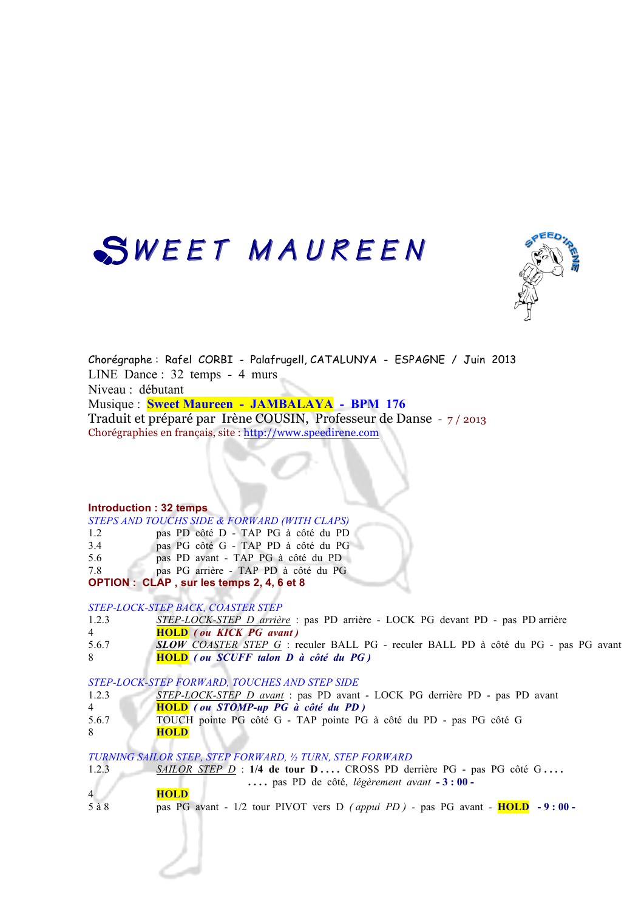# SWEET MAUREEN



Chorégraphe : Rafel CORBI - Palafrugell, CATALUNYA - ESPAGNE / Juin 2013 LINE Dance : 32 temps - 4 murs Niveau : débutant Musique : **Sweet Maureen - JAMBALAYA - BPM 176**  Traduit et préparé par Irène COUSIN, Professeur de Danse - 7 / 2013 Chorégraphies en français, site : http://www.speedirene.com

#### **Introduction : 32 temps**

| STEPS AND TOUCHS SIDE & FORWARD (WITH CLAPS) |
|----------------------------------------------|
|----------------------------------------------|

| pas PD côté D - TAP PG à côté du PD<br>1.2 |  |  |  |  |  |  |  |  |
|--------------------------------------------|--|--|--|--|--|--|--|--|
|--------------------------------------------|--|--|--|--|--|--|--|--|

- 3.4 pas PG côté G TAP PD à côté du PG
- 5.6 pas PD avant TAP PG à côté du PD
- 7.8 pas PG arrière TAP PD à côté du PG

**OPTION : CLAP , sur les temps 2, 4, 6 et 8**

*STEP-LOCK-STEP BACK, COASTER STEP*

- 1.2.3 *STEP-LOCK-STEP D arrière* : pas PD arrière LOCK PG devant PD pas PD arrière
- 4 **HOLD** *( ou KICK PG avant )*
- 5.6.7 *SLOW COASTER STEP G* : reculer BALL PG reculer BALL PD à côté du PG pas PG avant 8 **HOLD** *( ou SCUFF talon D à côté du PG )*
- *STEP-LOCK-STEP FORWARD, TOUCHES AND STEP SIDE*
- 1.2.3 *STEP-LOCK-STEP D avant* : pas PD avant LOCK PG derrière PD pas PD avant
- 4 **HOLD** *( ou STOMP-up PG à côté du PD )*
- 5.6.7 TOUCH pointe PG côté G TAP pointe PG à côté du PD pas PG côté G
- 8 **HOLD**

*TURNING SAILOR STEP, STEP FORWARD, ½ TURN, STEP FORWARD*

1.2.3 *SAILOR STEP D* : 1/4 de tour **D** ... . CROSS PD derrière PG - pas PG côté G ...  **. . . .** pas PD de côté, *légèrement avant* **- 3 : 00 -**

4 **HOLD**

5 à 8 pas PG avant - 1/2 tour PIVOT vers D *( appui PD ) -* pas PG avant *-* **HOLD - 9 : 00 -**